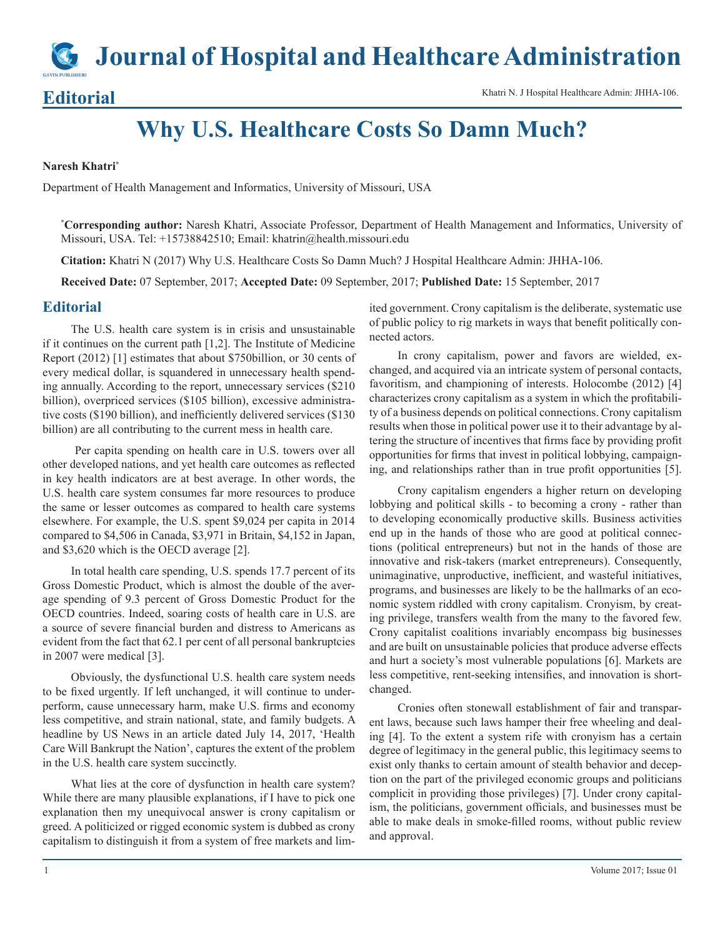**Journal of Hospital and Healthcare Administration**

Editorial Khatri N. J Hospital Healthcare Admin: JHHA-106.

# **Why U.S. Healthcare Costs So Damn Much?**

#### **Naresh Khatri\***

Department of Health Management and Informatics, University of Missouri, USA

**\* Corresponding author:** Naresh Khatri, Associate Professor, Department of Health Management and Informatics, University of Missouri, USA. Tel: +15738842510; Email: khatrin@health.missouri.edu

**Citation:** Khatri N (2017) Why U.S. Healthcare Costs So Damn Much? J Hospital Healthcare Admin: JHHA-106.

**Received Date:** 07 September, 2017; **Accepted Date:** 09 September, 2017; **Published Date:** 15 September, 2017

## **Editorial**

The U.S. health care system is in crisis and unsustainable if it continues on the current path [1,2]. The Institute of Medicine Report (2012) [1] estimates that about \$750billion, or 30 cents of every medical dollar, is squandered in unnecessary health spending annually. According to the report, unnecessary services (\$210 billion), overpriced services (\$105 billion), excessive administrative costs (\$190 billion), and inefficiently delivered services (\$130 billion) are all contributing to the current mess in health care.

 Per capita spending on health care in U.S. towers over all other developed nations, and yet health care outcomes as reflected in key health indicators are at best average. In other words, the U.S. health care system consumes far more resources to produce the same or lesser outcomes as compared to health care systems elsewhere. For example, the U.S. spent \$9,024 per capita in 2014 compared to \$4,506 in Canada, \$3,971 in Britain, \$4,152 in Japan, and \$3,620 which is the OECD average [2].

In total health care spending, U.S. spends 17.7 percent of its Gross Domestic Product, which is almost the double of the average spending of 9.3 percent of Gross Domestic Product for the OECD countries. Indeed, soaring costs of health care in U.S. are a source of severe financial burden and distress to Americans as evident from the fact that 62.1 per cent of all personal bankruptcies in 2007 were medical [3].

Obviously, the dysfunctional U.S. health care system needs to be fixed urgently. If left unchanged, it will continue to underperform, cause unnecessary harm, make U.S. firms and economy less competitive, and strain national, state, and family budgets. A headline by US News in an article dated July 14, 2017, 'Health Care Will Bankrupt the Nation', captures the extent of the problem in the U.S. health care system succinctly.

What lies at the core of dysfunction in health care system? While there are many plausible explanations, if I have to pick one explanation then my unequivocal answer is crony capitalism or greed. A politicized or rigged economic system is dubbed as crony capitalism to distinguish it from a system of free markets and limited government. Crony capitalism is the deliberate, systematic use of public policy to rig markets in ways that benefit politically connected actors.

In crony capitalism, power and favors are wielded, exchanged, and acquired via an intricate system of personal contacts, favoritism, and championing of interests. Holocombe (2012) [4] characterizes crony capitalism as a system in which the profitability of a business depends on political connections. Crony capitalism results when those in political power use it to their advantage by altering the structure of incentives that firms face by providing profit opportunities for firms that invest in political lobbying, campaigning, and relationships rather than in true profit opportunities [5].

Crony capitalism engenders a higher return on developing lobbying and political skills - to becoming a crony - rather than to developing economically productive skills. Business activities end up in the hands of those who are good at political connections (political entrepreneurs) but not in the hands of those are innovative and risk-takers (market entrepreneurs). Consequently, unimaginative, unproductive, inefficient, and wasteful initiatives, programs, and businesses are likely to be the hallmarks of an economic system riddled with crony capitalism. Cronyism, by creating privilege, transfers wealth from the many to the favored few. Crony capitalist coalitions invariably encompass big businesses and are built on unsustainable policies that produce adverse effects and hurt a society's most vulnerable populations [6]. Markets are less competitive, rent-seeking intensifies, and innovation is shortchanged.

Cronies often stonewall establishment of fair and transparent laws, because such laws hamper their free wheeling and dealing [4]. To the extent a system rife with cronyism has a certain degree of legitimacy in the general public, this legitimacy seems to exist only thanks to certain amount of stealth behavior and deception on the part of the privileged economic groups and politicians complicit in providing those privileges) [7]. Under crony capitalism, the politicians, government officials, and businesses must be able to make deals in smoke-filled rooms, without public review and approval.